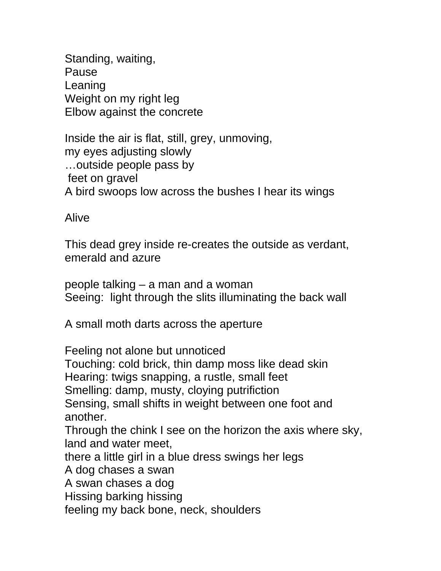Standing, waiting, Pause Leaning Weight on my right leg Elbow against the concrete

Inside the air is flat, still, grey, unmoving, my eyes adjusting slowly …outside people pass by feet on gravel A bird swoops low across the bushes I hear its wings

Alive

This dead grey inside re-creates the outside as verdant, emerald and azure

people talking – a man and a woman Seeing: light through the slits illuminating the back wall

A small moth darts across the aperture

Feeling not alone but unnoticed Touching: cold brick, thin damp moss like dead skin Hearing: twigs snapping, a rustle, small feet Smelling: damp, musty, cloying putrifiction Sensing, small shifts in weight between one foot and another. Through the chink I see on the horizon the axis where sky, land and water meet, there a little girl in a blue dress swings her legs A dog chases a swan A swan chases a dog Hissing barking hissing feeling my back bone, neck, shoulders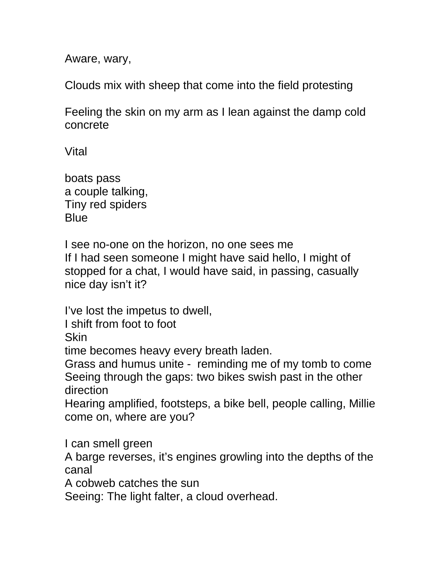Aware, wary,

Clouds mix with sheep that come into the field protesting

Feeling the skin on my arm as I lean against the damp cold concrete

Vital

boats pass a couple talking, Tiny red spiders **Blue** 

I see no-one on the horizon, no one sees me If I had seen someone I might have said hello, I might of stopped for a chat, I would have said, in passing, casually nice day isn't it?

I've lost the impetus to dwell,

I shift from foot to foot

Skin

time becomes heavy every breath laden.

Grass and humus unite - reminding me of my tomb to come Seeing through the gaps: two bikes swish past in the other direction

Hearing amplified, footsteps, a bike bell, people calling, Millie come on, where are you?

I can smell green

A barge reverses, it's engines growling into the depths of the canal

A cobweb catches the sun

Seeing: The light falter, a cloud overhead.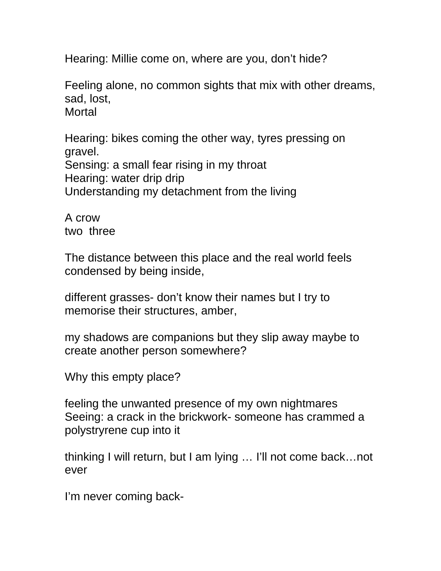Hearing: Millie come on, where are you, don't hide?

Feeling alone, no common sights that mix with other dreams, sad, lost, Mortal

Hearing: bikes coming the other way, tyres pressing on gravel. Sensing: a small fear rising in my throat Hearing: water drip drip Understanding my detachment from the living

A crow two three

The distance between this place and the real world feels condensed by being inside,

different grasses- don't know their names but I try to memorise their structures, amber,

my shadows are companions but they slip away maybe to create another person somewhere?

Why this empty place?

feeling the unwanted presence of my own nightmares Seeing: a crack in the brickwork- someone has crammed a polystryrene cup into it

thinking I will return, but I am lying … I'll not come back…not ever

I'm never coming back-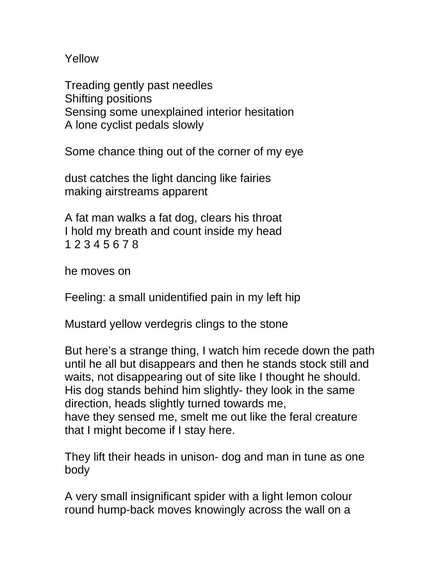Yellow

Treading gently past needles Shifting positions Sensing some unexplained interior hesitation A lone cyclist pedals slowly

Some chance thing out of the corner of my eye

dust catches the light dancing like fairies making airstreams apparent

A fat man walks a fat dog, clears his throat I hold my breath and count inside my head 1 2 3 4 5 6 7 8

he moves on

Feeling: a small unidentified pain in my left hip

Mustard yellow verdegris clings to the stone

But here's a strange thing, I watch him recede down the path until he all but disappears and then he stands stock still and waits, not disappearing out of site like I thought he should. His dog stands behind him slightly- they look in the same direction, heads slightly turned towards me, have they sensed me, smelt me out like the feral creature that I might become if I stay here.

They lift their heads in unison- dog and man in tune as one body

A very small insignificant spider with a light lemon colour round hump-back moves knowingly across the wall on a